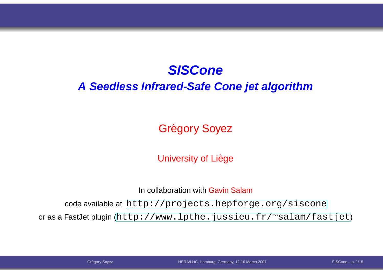# **SISCone**

#### **A Seedless Infrared-Safe Cone jet algorithm**

Grégory Soyez

University of Liège

In collaboration with <mark>Gavin Salam</mark>

code available at [http://projects](http://projects.hepforge.org/siscone).[hepforge](http://projects.hepforge.org/siscone).[org/sisc](http://projects.hepforge.org/siscone)one

or as <sup>a</sup> FastJet plugin ([http://www](http://www.lpthe.jussieu.fr/~salam/fastjet).[lpthe](http://www.lpthe.jussieu.fr/~salam/fastjet).[jussieu](http://www.lpthe.jussieu.fr/~salam/fastjet).[fr/](http://www.lpthe.jussieu.fr/~salam/fastjet)∼salam/fastjet)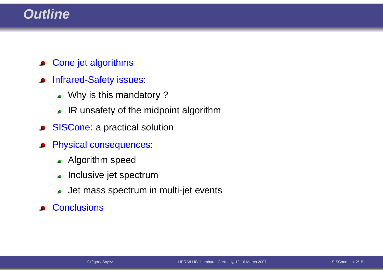# **Outline**

- Cone jet algorithms $\bullet$
- Infrared-Safety issues:  $\bullet$ 
	- . Why is this mandatory ?
	- IR unsafety of the midpoint algorithm
- SISCone: <sup>a</sup> practical solution $\bullet$
- Physical consequences:  $\bullet$ 
	- **Algorithm speed**
	- **Inclusive jet spectrum**
	- Jet mass spectrum in multi-jet events
- **Conclusions**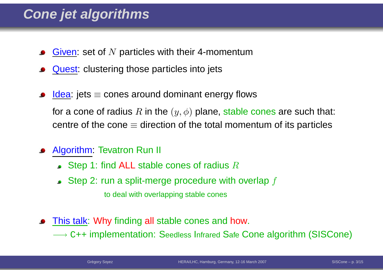# **Cone jet algorithms**

- <u>Given</u>: set of  $N$  particles with their 4-momentum
- Quest: clustering those particles into jets
- <u>Idea</u>: jets ≡ cones around dominant energy flows for a cone of radius  $R$  in the  $(y,\phi)$  plane, stable cones are such that: centre of the cone  $\equiv$  direction of the total momentum of its particles
- Algorithm: Tevatron Run II
	- Step 1: find ALL stable cones of radius  $R$
	- Step 2: run a split-merge procedure with overlap  $f$ to deal with overlapping stable cones
- <mark>This talk</mark>: Why finding <mark>all</mark> stable cones and <mark>how</mark>.

 $\longrightarrow$  C++ implementation: Seedless Infrared Safe Cone algorithm (SISCone)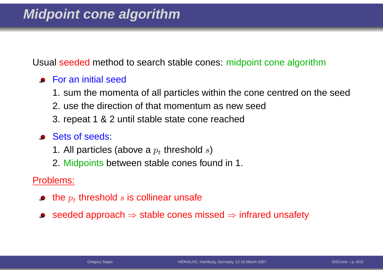Usual seeded method to search stable cones: midpoint cone algorithm

- **•** For an initial seed
	- 1. sum the momenta of all particles within the cone centred on the seed
	- 2. use the direction of that momentum as new seed
	- 3. repeat 1 & 2 until stable state cone reached
- **Sets of seeds:** 
	- 1. All particles (above a  $p_t$  threshold  $s)$
	- 2. Midpoints between stable cones found in 1.

Problems:

- the  $p_t$  threshold  $s$  is collinear unsafe
- seeded approach  $\Rightarrow$  stable cones missed  $\Rightarrow$  infrared unsafety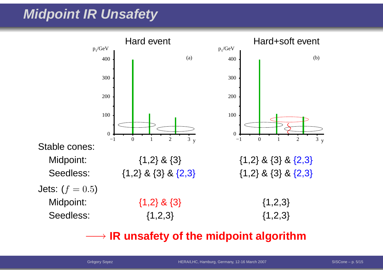# **Midpoint IR Unsafety**



# −→ **IR unsafety of the midpoint algorithm**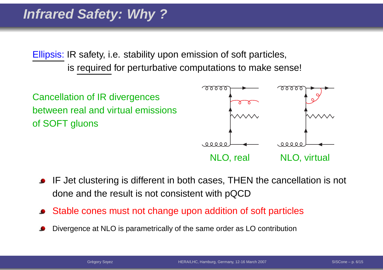# **Infrared Safety: Why ?**

Ellipsis: IR safety, i.e. stability upon emission of soft particles, is required for perturbative computations to make sense!



- IF Jet clustering is different in both cases, THEN the cancellation is not done and the result is not consistent with pQCD
- Stable cones must not change upon addition of soft particles
- Divergence at NLO is parametrically of the same order as LO contribution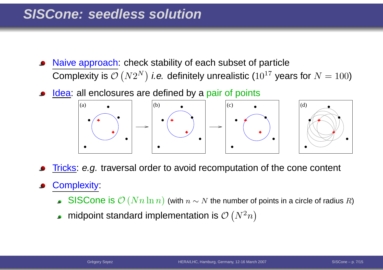# **SISCone: seedless solution**

- Naive approach: check stability of each subset of particleComplexity is  $\mathcal{O}\left(N2^N\right)$  *i.e.* definitely unrealistic ( $10^{17}$  years for  $N=100)$
- <u>Idea</u>: all enclosures are defined by a pair of points



<u>Tricks</u>: *e.g.* traversal order to avoid recomputation of the cone content

#### Complexity:

- $\mathbf{S}$ ISCone is  $\mathcal{O}\left(Nn\ln n\right)$  (with  $n\sim N$  the number of points in a circle of radius  $R$ )
- midpoint standard implementation is  $\mathcal{O}\left(N^{2}\right)$  $^2n\big)$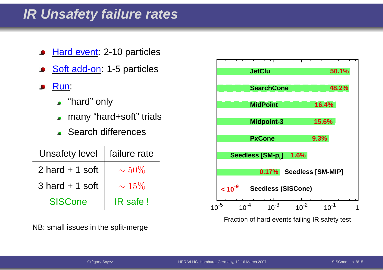# **IR Unsafety failure rates**

- Hard event: 2-10 particles
- Soft add-on: 1-5 particles
- Run:
	- "hard" only
	- many "hard+soft" trials
	- Search differences

| <b>Unsafety level</b> | failure rate |
|-----------------------|--------------|
| $2$ hard $+$ 1 soft   | $\sim 50\%$  |
| $3$ hard $+ 1$ soft   | $\sim 15\%$  |
| <b>SISCone</b>        | IR safe!     |

NB: small issues in the split-merge

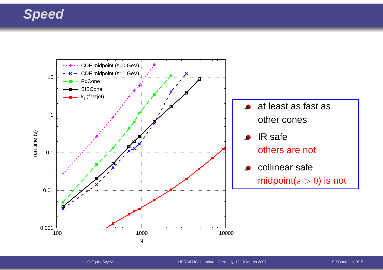# **Speed**

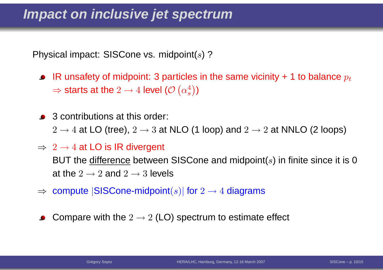Physical impact: SISCone vs. midpoint( $s$ ) ?  $\,$ 

- IR unsafety of midpoint: 3 particles in the same vicinity + 1 to balance  $p_{\boldsymbol{t}}$  $\Rightarrow$  starts at the  $2\rightarrow 4$  level ( $\mathcal{O}\left(\alpha_s^4\right)$  $\left.\begin{array}{c} 4 \ s \end{array} \right)$
- **3** contributions at this order:  $2\to 4$  at LO (tree),  $2\to 3$  at NLO (1 loop) and  $2\to 2$  at NNLO (2 loops)

### $\Rightarrow~2\rightarrow4$  at LO is IR divergent

BUT the <u>difference</u> between SISCone and midpoint( $s$ ) in finite since it is 0 at the  $2\to2$  and  $2\to3$  levels

- $\Rightarrow$  compute  $|\mathsf{SISCone\text{-}midpoint}(s)|$  for  $2\to 4$  diagrams
- Compare with the  $2\to2$  (LO) spectrum to estimate effect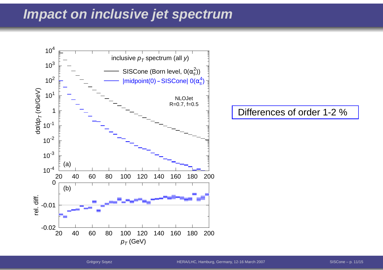# **Impact on inclusive jet spectrum**



Differences of order 1-2 %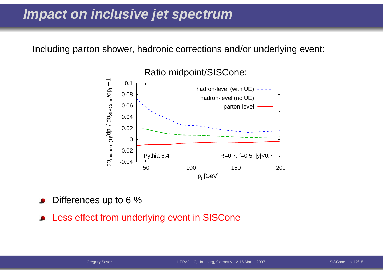# **Impact on inclusive jet spectrum**

Including parton shower, hadronic corrections and/or underlying event:



Differences up to 6 %

Less effect from underlying event in SISCone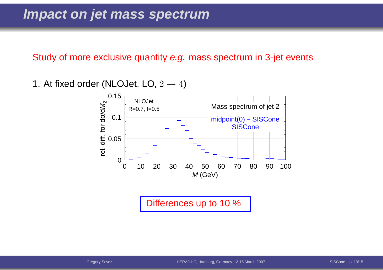Study of more exclusive quantity *e.g.* mass spectrum in 3-jet events

1. At fixed order (NLOJet, LO,  $2\to 4)$ 



Differences up to 10 %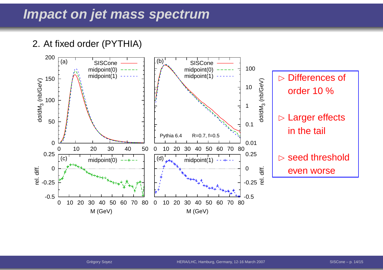#### 2. At fixed order (PYTHIA)